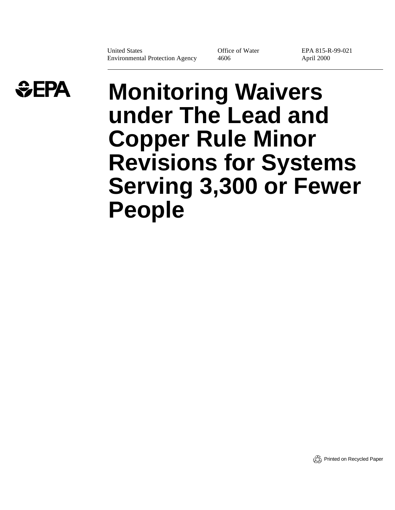United States Environmental Protection Agency Office of Water 4606

EPA 815-R-99-021 April 2000



# **Monitoring Waivers under The Lead and Copper Rule Minor Revisions for Systems Serving 3,300 or Fewer People**

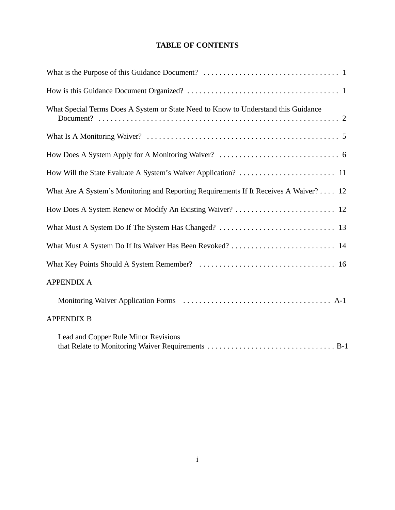## **TABLE OF CONTENTS**

| What Special Terms Does A System or State Need to Know to Understand this Guidance    |
|---------------------------------------------------------------------------------------|
|                                                                                       |
|                                                                                       |
|                                                                                       |
| What Are A System's Monitoring and Reporting Requirements If It Receives A Waiver? 12 |
|                                                                                       |
|                                                                                       |
| What Must A System Do If Its Waiver Has Been Revoked?  14                             |
|                                                                                       |
| <b>APPENDIX A</b>                                                                     |
|                                                                                       |
| <b>APPENDIX B</b>                                                                     |
| Lead and Copper Rule Minor Revisions                                                  |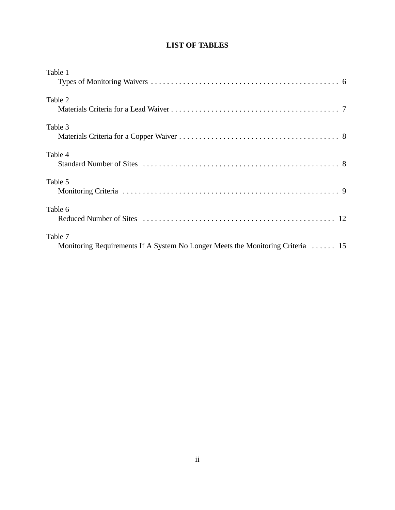## **LIST OF TABLES**

| Table 1                                                                                    |  |
|--------------------------------------------------------------------------------------------|--|
| Table 2                                                                                    |  |
| Table 3                                                                                    |  |
| Table 4                                                                                    |  |
| Table 5                                                                                    |  |
| Table 6                                                                                    |  |
| Table 7<br>Monitoring Requirements If A System No Longer Meets the Monitoring Criteria  15 |  |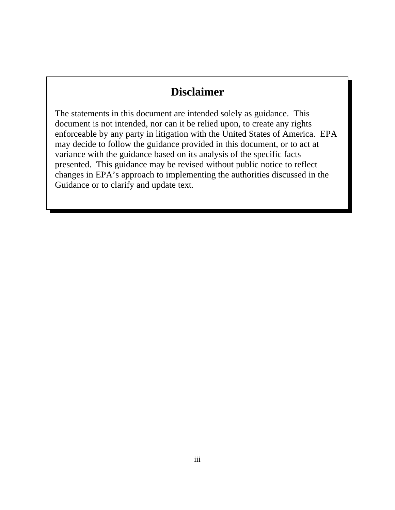## **Disclaimer**

The statements in this document are intended solely as guidance. This document is not intended, nor can it be relied upon, to create any rights enforceable by any party in litigation with the United States of America. EPA may decide to follow the guidance provided in this document, or to act at variance with the guidance based on its analysis of the specific facts presented. This guidance may be revised without public notice to reflect changes in EPA's approach to implementing the authorities discussed in the Guidance or to clarify and update text.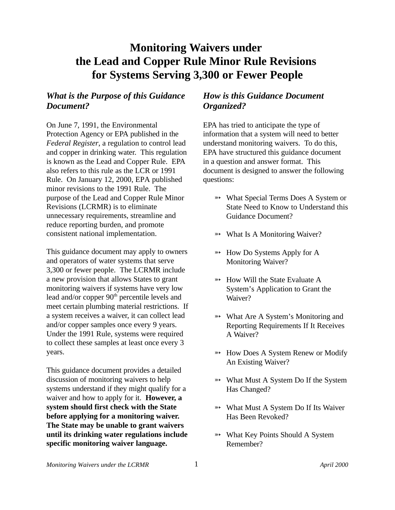## **Monitoring Waivers under the Lead and Copper Rule Minor Rule Revisions for Systems Serving 3,300 or Fewer People**

## *What is the Purpose of this Guidance Document?*

On June 7, 1991, the Environmental Protection Agency or EPA published in the *Federal Register*, a regulation to control lead and copper in drinking water. This regulation is known as the Lead and Copper Rule. EPA also refers to this rule as the LCR or 1991 Rule. On January 12, 2000, EPA published minor revisions to the 1991 Rule. The purpose of the Lead and Copper Rule Minor Revisions (LCRMR) is to eliminate unnecessary requirements, streamline and reduce reporting burden, and promote consistent national implementation.

This guidance document may apply to owners and operators of water systems that serve 3,300 or fewer people. The LCRMR include a new provision that allows States to grant monitoring waivers if systems have very low lead and/or copper  $90<sup>th</sup>$  percentile levels and meet certain plumbing material restrictions. If a system receives a waiver, it can collect lead and/or copper samples once every 9 years. Under the 1991 Rule, systems were required to collect these samples at least once every 3 years.

This guidance document provides a detailed discussion of monitoring waivers to help systems understand if they might qualify for a waiver and how to apply for it. **However, a system should first check with the State before applying for a monitoring waiver. The State may be unable to grant waivers until its drinking water regulations include specific monitoring waiver language.**

## *How is this Guidance Document Organized?*

EPA has tried to anticipate the type of information that a system will need to better understand monitoring waivers. To do this, EPA have structured this guidance document in a question and answer format. This document is designed to answer the following questions:

- **What Special Terms Does A System or** State Need to Know to Understand this Guidance Document?
- $\rightarrow$  What Is A Monitoring Waiver?
- $\rightarrow$  How Do Systems Apply for A Monitoring Waiver?
- $\rightarrow$  How Will the State Evaluate A System's Application to Grant the Waiver?
- $\rightarrow$  What Are A System's Monitoring and Reporting Requirements If It Receives A Waiver?
- $\rightarrow$  How Does A System Renew or Modify An Existing Waiver?
- **\*\*** What Must A System Do If the System Has Changed?
- $\rightarrow$  What Must A System Do If Its Waiver Has Been Revoked?
- $\rightarrow$  What Key Points Should A System Remember?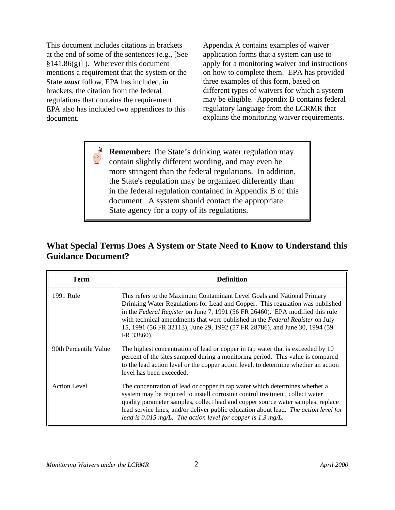This document includes citations in brackets at the end of some of the sentences (e.g., [See §141.86(g)] ). Wherever this document mentions a requirement that the system or the State *must* follow, EPA has included, in brackets, the citation from the federal regulations that contains the requirement. EPA also has included two appendices to this document.

 $\begin{picture}(120,15) \put(0,0){\line(1,0){15}} \put(15,0){\line(1,0){15}} \put(15,0){\line(1,0){15}} \put(15,0){\line(1,0){15}} \put(15,0){\line(1,0){15}} \put(15,0){\line(1,0){15}} \put(15,0){\line(1,0){15}} \put(15,0){\line(1,0){15}} \put(15,0){\line(1,0){15}} \put(15,0){\line(1,0){15}} \put(15,0){\line(1,0){15}} \put(15,0){\line($ 

Appendix A contains examples of waiver application forms that a system can use to apply for a monitoring waiver and instructions on how to complete them. EPA has provided three examples of this form, based on different types of waivers for which a system may be eligible. Appendix B contains federal regulatory language from the LCRMR that explains the monitoring waiver requirements.

**Remember:** The State's drinking water regulation may contain slightly different wording, and may even be more stringent than the federal regulations. In addition, the State's regulation may be organized differently than in the federal regulation contained in Appendix B of this document. A system should contact the appropriate State agency for a copy of its regulations.

## **What Special Terms Does A System or State Need to Know to Understand this Guidance Document?**

| Term                  | <b>Definition</b>                                                                                                                                                                                                                                                                                                                                                                                                      |
|-----------------------|------------------------------------------------------------------------------------------------------------------------------------------------------------------------------------------------------------------------------------------------------------------------------------------------------------------------------------------------------------------------------------------------------------------------|
| 1991 Rule             | This refers to the Maximum Contaminant Level Goals and National Primary<br>Drinking Water Regulations for Lead and Copper. This regulation was published<br>in the Federal Register on June 7, 1991 (56 FR 26460). EPA modified this rule<br>with technical amendments that were published in the Federal Register on July<br>15, 1991 (56 FR 32113), June 29, 1992 (57 FR 28786), and June 30, 1994 (59<br>FR 33860). |
| 90th Percentile Value | The highest concentration of lead or copper in tap water that is exceeded by 10<br>percent of the sites sampled during a monitoring period. This value is compared<br>to the lead action level or the copper action level, to determine whether an action<br>level has been exceeded.                                                                                                                                  |
| <b>Action Level</b>   | The concentration of lead or copper in tap water which determines whether a<br>system may be required to install corrosion control treatment, collect water<br>quality parameter samples, collect lead and copper source water samples, replace<br>lead service lines, and/or deliver public education about lead. The action level for<br>lead is 0.015 mg/L. The action level for copper is 1.3 mg/L.                |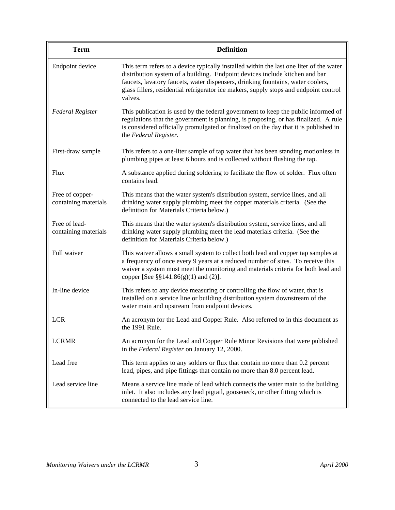| <b>Term</b>                             | <b>Definition</b>                                                                                                                                                                                                                                                                                                                                             |
|-----------------------------------------|---------------------------------------------------------------------------------------------------------------------------------------------------------------------------------------------------------------------------------------------------------------------------------------------------------------------------------------------------------------|
| Endpoint device                         | This term refers to a device typically installed within the last one liter of the water<br>distribution system of a building. Endpoint devices include kitchen and bar<br>faucets, lavatory faucets, water dispensers, drinking fountains, water coolers,<br>glass fillers, residential refrigerator ice makers, supply stops and endpoint control<br>valves. |
| <b>Federal Register</b>                 | This publication is used by the federal government to keep the public informed of<br>regulations that the government is planning, is proposing, or has finalized. A rule<br>is considered officially promulgated or finalized on the day that it is published in<br>the Federal Register.                                                                     |
| First-draw sample                       | This refers to a one-liter sample of tap water that has been standing motionless in<br>plumbing pipes at least 6 hours and is collected without flushing the tap.                                                                                                                                                                                             |
| <b>Flux</b>                             | A substance applied during soldering to facilitate the flow of solder. Flux often<br>contains lead.                                                                                                                                                                                                                                                           |
| Free of copper-<br>containing materials | This means that the water system's distribution system, service lines, and all<br>drinking water supply plumbing meet the copper materials criteria. (See the<br>definition for Materials Criteria below.)                                                                                                                                                    |
| Free of lead-<br>containing materials   | This means that the water system's distribution system, service lines, and all<br>drinking water supply plumbing meet the lead materials criteria. (See the<br>definition for Materials Criteria below.)                                                                                                                                                      |
| Full waiver                             | This waiver allows a small system to collect both lead and copper tap samples at<br>a frequency of once every 9 years at a reduced number of sites. To receive this<br>waiver a system must meet the monitoring and materials criteria for both lead and<br>copper [See $\S$ §141.86(g)(1) and (2)].                                                          |
| In-line device                          | This refers to any device measuring or controlling the flow of water, that is<br>installed on a service line or building distribution system downstream of the<br>water main and upstream from endpoint devices.                                                                                                                                              |
| <b>LCR</b>                              | An acronym for the Lead and Copper Rule. Also referred to in this document as<br>the 1991 Rule.                                                                                                                                                                                                                                                               |
| <b>LCRMR</b>                            | An acronym for the Lead and Copper Rule Minor Revisions that were published<br>in the Federal Register on January 12, 2000.                                                                                                                                                                                                                                   |
| Lead free                               | This term applies to any solders or flux that contain no more than 0.2 percent<br>lead, pipes, and pipe fittings that contain no more than 8.0 percent lead.                                                                                                                                                                                                  |
| Lead service line                       | Means a service line made of lead which connects the water main to the building<br>inlet. It also includes any lead pigtail, gooseneck, or other fitting which is<br>connected to the lead service line.                                                                                                                                                      |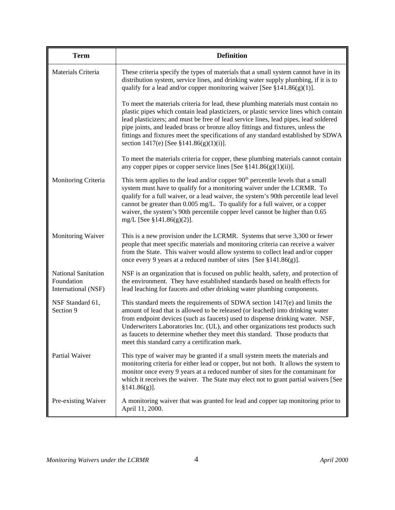| <b>Term</b>                                                     | <b>Definition</b>                                                                                                                                                                                                                                                                                                                                                                                                                                                                        |
|-----------------------------------------------------------------|------------------------------------------------------------------------------------------------------------------------------------------------------------------------------------------------------------------------------------------------------------------------------------------------------------------------------------------------------------------------------------------------------------------------------------------------------------------------------------------|
| Materials Criteria                                              | These criteria specify the types of materials that a small system cannot have in its<br>distribution system, service lines, and drinking water supply plumbing, if it is to<br>qualify for a lead and/or copper monitoring waiver [See $§141.86(g)(1)$ ].                                                                                                                                                                                                                                |
|                                                                 | To meet the materials criteria for lead, these plumbing materials must contain no<br>plastic pipes which contain lead plasticizers, or plastic service lines which contain<br>lead plasticizers; and must be free of lead service lines, lead pipes, lead soldered<br>pipe joints, and leaded brass or bronze alloy fittings and fixtures, unless the<br>fittings and fixtures meet the specifications of any standard established by SDWA<br>section 1417(e) [See $$141.86(g)(1)(i)$ ]. |
|                                                                 | To meet the materials criteria for copper, these plumbing materials cannot contain<br>any copper pipes or copper service lines [See $\S 141.86(g)(1)(ii)$ ].                                                                                                                                                                                                                                                                                                                             |
| Monitoring Criteria                                             | This term applies to the lead and/or copper $90th$ percentile levels that a small<br>system must have to qualify for a monitoring waiver under the LCRMR. To<br>qualify for a full waiver, or a lead waiver, the system's 90th percentile lead level<br>cannot be greater than 0.005 mg/L. To qualify for a full waiver, or a copper<br>waiver, the system's 90th percentile copper level cannot be higher than 0.65<br>mg/L [See $$141.86(g)(2)$ ].                                     |
| Monitoring Waiver                                               | This is a new provision under the LCRMR. Systems that serve 3,300 or fewer<br>people that meet specific materials and monitoring criteria can receive a waiver<br>from the State. This waiver would allow systems to collect lead and/or copper<br>once every 9 years at a reduced number of sites [See $\S 141.86(g)$ ].                                                                                                                                                                |
| <b>National Sanitation</b><br>Foundation<br>International (NSF) | NSF is an organization that is focused on public health, safety, and protection of<br>the environment. They have established standards based on health effects for<br>lead leaching for faucets and other drinking water plumbing components.                                                                                                                                                                                                                                            |
| NSF Standard 61,<br>Section 9                                   | This standard meets the requirements of SDWA section 1417(e) and limits the<br>amount of lead that is allowed to be released (or leached) into drinking water<br>from endpoint devices (such as faucets) used to dispense drinking water. NSF,<br>Underwriters Laboratories Inc. (UL), and other organizations test products such<br>as faucets to determine whether they meet this standard. Those products that<br>meet this standard carry a certification mark.                      |
| Partial Waiver                                                  | This type of waiver may be granted if a small system meets the materials and<br>monitoring criteria for either lead or copper, but not both. It allows the system to<br>monitor once every 9 years at a reduced number of sites for the contaminant for<br>which it receives the waiver. The State may elect not to grant partial waivers [See<br>§141.86(g)].                                                                                                                           |
| Pre-existing Waiver                                             | A monitoring waiver that was granted for lead and copper tap monitoring prior to<br>April 11, 2000.                                                                                                                                                                                                                                                                                                                                                                                      |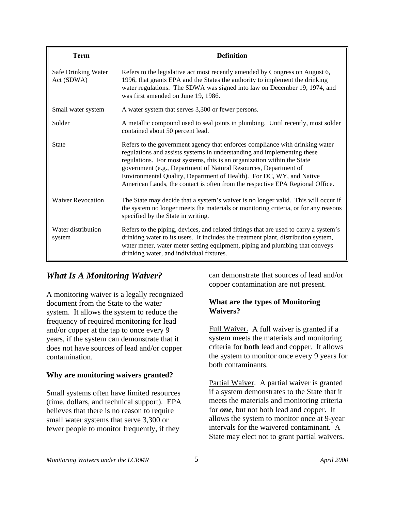| <b>Term</b>                       | <b>Definition</b>                                                                                                                                                                                                                                                                                                                                                                                                                                               |
|-----------------------------------|-----------------------------------------------------------------------------------------------------------------------------------------------------------------------------------------------------------------------------------------------------------------------------------------------------------------------------------------------------------------------------------------------------------------------------------------------------------------|
| Safe Drinking Water<br>Act (SDWA) | Refers to the legislative act most recently amended by Congress on August 6,<br>1996, that grants EPA and the States the authority to implement the drinking<br>water regulations. The SDWA was signed into law on December 19, 1974, and<br>was first amended on June 19, 1986.                                                                                                                                                                                |
| Small water system                | A water system that serves 3,300 or fewer persons.                                                                                                                                                                                                                                                                                                                                                                                                              |
| Solder                            | A metallic compound used to seal joints in plumbing. Until recently, most solder<br>contained about 50 percent lead.                                                                                                                                                                                                                                                                                                                                            |
| <b>State</b>                      | Refers to the government agency that enforces compliance with drinking water<br>regulations and assists systems in understanding and implementing these<br>regulations. For most systems, this is an organization within the State<br>government (e.g., Department of Natural Resources, Department of<br>Environmental Quality, Department of Health). For DC, WY, and Native<br>American Lands, the contact is often from the respective EPA Regional Office. |
| <b>Waiver Revocation</b>          | The State may decide that a system's waiver is no longer valid. This will occur if<br>the system no longer meets the materials or monitoring criteria, or for any reasons<br>specified by the State in writing.                                                                                                                                                                                                                                                 |
| Water distribution<br>system      | Refers to the piping, devices, and related fittings that are used to carry a system's<br>drinking water to its users. It includes the treatment plant, distribution system,<br>water meter, water meter setting equipment, piping and plumbing that conveys<br>drinking water, and individual fixtures.                                                                                                                                                         |

## *What Is A Monitoring Waiver?*

A monitoring waiver is a legally recognized document from the State to the water system. It allows the system to reduce the frequency of required monitoring for lead and/or copper at the tap to once every 9 years, if the system can demonstrate that it does not have sources of lead and/or copper contamination.

## **Why are monitoring waivers granted?**

Small systems often have limited resources (time, dollars, and technical support). EPA believes that there is no reason to require small water systems that serve 3,300 or fewer people to monitor frequently, if they

can demonstrate that sources of lead and/or copper contamination are not present.

#### **What are the types of Monitoring Waivers?**

Full Waiver. A full waiver is granted if a system meets the materials and monitoring criteria for **both** lead and copper. It allows the system to monitor once every 9 years for both contaminants.

Partial Waiver. A partial waiver is granted if a system demonstrates to the State that it meets the materials and monitoring criteria for *one*, but not both lead and copper. It allows the system to monitor once at 9-year intervals for the waivered contaminant. A State may elect not to grant partial waivers.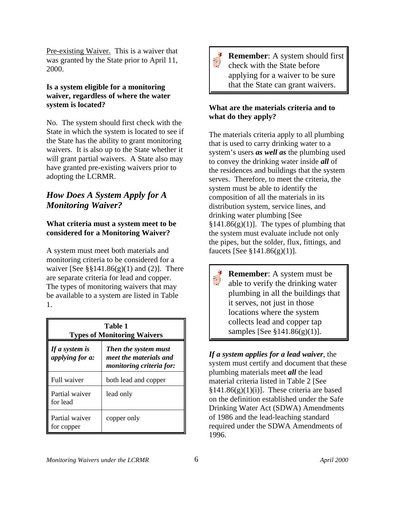Pre-existing Waiver. This is a waiver that was granted by the State prior to April 11, 2000.

### **Is a system eligible for a monitoring waiver, regardless of where the water system is located?**

No. The system should first check with the State in which the system is located to see if the State has the ability to grant monitoring waivers. It is also up to the State whether it will grant partial waivers. A State also may have granted pre-existing waivers prior to adopting the LCRMR.

## *How Does A System Apply for A Monitoring Waiver?*

## **What criteria must a system meet to be considered for a Monitoring Waiver?**

A system must meet both materials and monitoring criteria to be considered for a waiver [See  $\S$ §141.86(g)(1) and (2)]. There are separate criteria for lead and copper. The types of monitoring waivers that may be available to a system are listed in Table 1.

| Table 1<br><b>Types of Monitoring Waivers</b> |                                                                                   |  |
|-----------------------------------------------|-----------------------------------------------------------------------------------|--|
| If a system is<br><i>applying for a:</i>      | <b>Then the system must</b><br>meet the materials and<br>monitoring criteria for: |  |
| Full waiver                                   | both lead and copper                                                              |  |
| Partial waiver<br>for lead                    | lead only                                                                         |  |
| Partial waiver<br>for copper                  | copper only                                                                       |  |



**Remember:** A system should first check with the State before applying for a waiver to be sure that the State can grant waivers.

## **What are the materials criteria and to what do they apply?**

The materials criteria apply to all plumbing that is used to carry drinking water to a system's users *as well as* the plumbing used to convey the drinking water inside *all* of the residences and buildings that the system serves. Therefore, to meet the criteria, the system must be able to identify the composition of all the materials in its distribution system, service lines, and drinking water plumbing [See  $§141.86(g)(1)$ . The types of plumbing that the system must evaluate include not only the pipes, but the solder, flux, fittings, and faucets [See §141.86(g)(1)].

**Remember**: A system must be able to verify the drinking water plumbing in all the buildings that it serves, not just in those locations where the system collects lead and copper tap samples [See §141.86(g)(1)].

*If a system applies for a lead waiver*, the system must certify and document that these plumbing materials meet *all* the lead material criteria listed in Table 2 [See  $§141.86(g)(1)(i)$ ]. These criteria are based on the definition established under the Safe Drinking Water Act (SDWA) Amendments of 1986 and the lead-leaching standard required under the SDWA Amendments of 1996.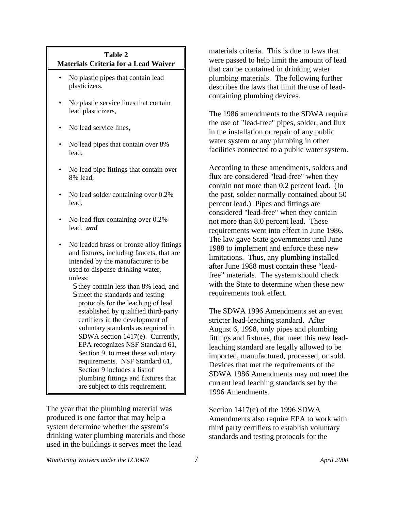### **Table 2 Materials Criteria for a Lead Waiver**

- No plastic pipes that contain lead plasticizers,
- No plastic service lines that contain lead plasticizers,
- No lead service lines,
- No lead pipes that contain over 8% lead,
- No lead pipe fittings that contain over 8% lead,
- No lead solder containing over 0.2% lead,
- No lead flux containing over 0.2% lead, *and*
- No leaded brass or bronze alloy fittings and fixtures, including faucets, that are intended by the manufacturer to be used to dispense drinking water, unless:
	- S they contain less than 8% lead, and S meet the standards and testing protocols for the leaching of lead established by qualified third-party certifiers in the development of voluntary standards as required in SDWA section 1417(e). Currently, EPA recognizes NSF Standard 61, Section 9, to meet these voluntary requirements. NSF Standard 61, Section 9 includes a list of plumbing fittings and fixtures that are subject to this requirement.

The year that the plumbing material was produced is one factor that may help a system determine whether the system's drinking water plumbing materials and those used in the buildings it serves meet the lead

materials criteria. This is due to laws that were passed to help limit the amount of lead that can be contained in drinking water plumbing materials. The following further describes the laws that limit the use of leadcontaining plumbing devices.

The 1986 amendments to the SDWA require the use of "lead-free" pipes, solder, and flux in the installation or repair of any public water system or any plumbing in other facilities connected to a public water system.

According to these amendments, solders and flux are considered "lead-free" when they contain not more than 0.2 percent lead. (In the past, solder normally contained about 50 percent lead.) Pipes and fittings are considered "lead-free" when they contain not more than 8.0 percent lead. These requirements went into effect in June 1986. The law gave State governments until June 1988 to implement and enforce these new limitations. Thus, any plumbing installed after June 1988 must contain these "leadfree" materials. The system should check with the State to determine when these new requirements took effect.

The SDWA 1996 Amendments set an even stricter lead-leaching standard. After August 6, 1998, only pipes and plumbing fittings and fixtures, that meet this new leadleaching standard are legally allowed to be imported, manufactured, processed, or sold. Devices that met the requirements of the SDWA 1986 Amendments may not meet the current lead leaching standards set by the 1996 Amendments.

Section 1417(e) of the 1996 SDWA Amendments also require EPA to work with third party certifiers to establish voluntary standards and testing protocols for the

*Monitoring Waivers under the LCRMR* 7 *April 2000*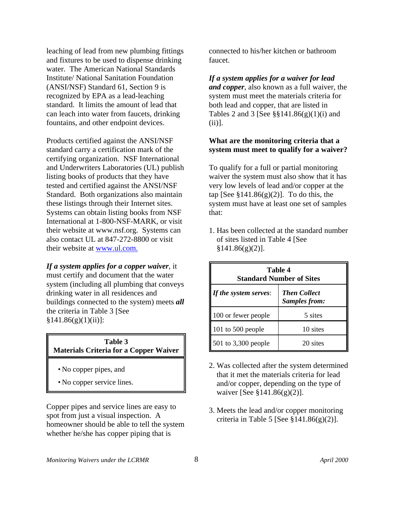leaching of lead from new plumbing fittings and fixtures to be used to dispense drinking water. The American National Standards Institute/ National Sanitation Foundation (ANSI/NSF) Standard 61, Section 9 is recognized by EPA as a lead-leaching standard. It limits the amount of lead that can leach into water from faucets, drinking fountains, and other endpoint devices.

Products certified against the ANSI/NSF standard carry a certification mark of the certifying organization. NSF International and Underwriters Laboratories (UL) publish listing books of products that they have tested and certified against the ANSI/NSF Standard. Both organizations also maintain these listings through their Internet sites. Systems can obtain listing books from NSF International at 1-800-NSF-MARK, or visit their website at www.nsf.org. Systems can also contact UL at 847-272-8800 or visit their website at www.ul.com.

*If a system applies for a copper waiver*, it must certify and document that the water system (including all plumbing that conveys drinking water in all residences and buildings connected to the system) meets *all* the criteria in Table 3 [See  $§141.86(g)(1)(ii)$ :

#### **Table 3 Materials Criteria for a Copper Waiver**

- No copper pipes, and
- No copper service lines.

Copper pipes and service lines are easy to spot from just a visual inspection. A homeowner should be able to tell the system whether he/she has copper piping that is

connected to his/her kitchen or bathroom faucet.

*If a system applies for a waiver for lead and copper*, also known as a full waiver, the system must meet the materials criteria for both lead and copper, that are listed in Tables 2 and 3 [See  $\S$ §141.86(g)(1)(i) and (ii)].

#### **What are the monitoring criteria that a system must meet to qualify for a waiver?**

To qualify for a full or partial monitoring waiver the system must also show that it has very low levels of lead and/or copper at the tap [See  $\S 141.86(g)(2)$ ]. To do this, the system must have at least one set of samples that:

1. Has been collected at the standard number of sites listed in Table 4 [See  $§141.86(g)(2)].$ 

| Table 4<br><b>Standard Number of Sites</b> |                                             |
|--------------------------------------------|---------------------------------------------|
| If the system serves:                      | <b>Then Collect</b><br><b>Samples from:</b> |
| 100 or fewer people                        | 5 sites                                     |
| 101 to $500$ people                        | 10 sites                                    |
| $501$ to 3,300 people                      | 20 sites                                    |

- 2. Was collected after the system determined that it met the materials criteria for lead and/or copper, depending on the type of waiver [See §141.86(g)(2)].
- 3. Meets the lead and/or copper monitoring criteria in Table 5 [See  $$141.86(g)(2)$ ].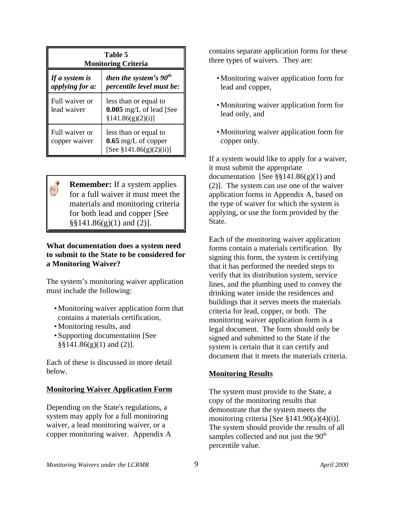| <b>Table 5</b><br><b>Monitoring Criteria</b> |                                                                              |
|----------------------------------------------|------------------------------------------------------------------------------|
| If a system is<br><i>applying for a:</i>     | then the system's $90th$<br><i>percentile level must be:</i>                 |
| Full waiver or<br>lead waiver                | less than or equal to<br>0.005 mg/L of lead [See<br>[3141.86(g)(2)(i)]       |
| Full waiver or<br>copper waiver              | less than or equal to<br>$0.65$ mg/L of copper<br>[See $$141.86(g)(2)(ii)$ ] |

**Remember:** If a system applies for a full waiver it must meet the materials and monitoring criteria for both lead and copper [See  $\S$ §141.86(g)(1) and (2)].

#### **What documentation does a system need to submit to the State to be considered for a Monitoring Waiver?**

The system's monitoring waiver application must include the following:

- Monitoring waiver application form that contains a materials certification,
- Monitoring results, and
- Supporting documentation [See  $\S$ §141.86(g)(1) and (2)].

Each of these is discussed in more detail below.

## **Monitoring Waiver Application Form**

Depending on the State's regulations, a system may apply for a full monitoring waiver, a lead monitoring waiver, or a copper monitoring waiver. Appendix A

contains separate application forms for these three types of waivers. They are:

- Monitoring waiver application form for lead and copper,
- Monitoring waiver application form for lead only, and
- Monitoring waiver application form for copper only.

If a system would like to apply for a waiver, it must submit the appropriate documentation [See  $\S$ §141.86(g)(1) and (2)]. The system can use one of the waiver application forms in Appendix A, based on the type of waiver for which the system is applying, or use the form provided by the State.

Each of the monitoring waiver application forms contain a materials certification. By signing this form, the system is certifying that it has performed the needed steps to verify that its distribution system, service lines, and the plumbing used to convey the drinking water inside the residences and buildings that it serves meets the materials criteria for lead, copper, or both. The monitoring waiver application form is a legal document. The form should only be signed and submitted to the State if the system is certain that it can certify and document that it meets the materials criteria.

## **Monitoring Results**

The system must provide to the State, a copy of the monitoring results that demonstrate that the system meets the monitoring criteria [See §141.90(a)(4)(i)]. The system should provide the results of all samples collected and not just the  $90<sup>th</sup>$ percentile value.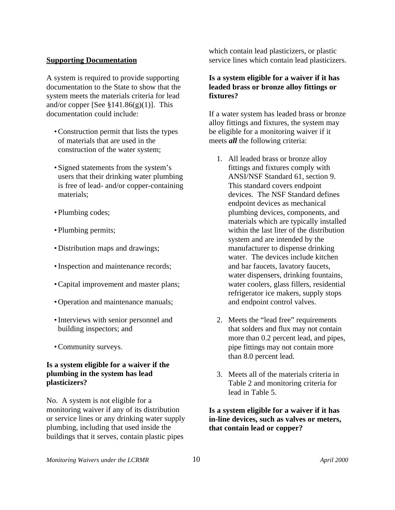#### **Supporting Documentation**

A system is required to provide supporting documentation to the State to show that the system meets the materials criteria for lead and/or copper [See  $\S 141.86(g)(1)$ ]. This documentation could include:

- •Construction permit that lists the types of materials that are used in the construction of the water system;
- Signed statements from the system's users that their drinking water plumbing is free of lead- and/or copper-containing materials;
- Plumbing codes;
- Plumbing permits;
- Distribution maps and drawings;
- Inspection and maintenance records;
- •Capital improvement and master plans;
- Operation and maintenance manuals;
- •Interviews with senior personnel and building inspectors; and
- •Community surveys.

### **Is a system eligible for a waiver if the plumbing in the system has lead plasticizers?**

No. A system is not eligible for a monitoring waiver if any of its distribution or service lines or any drinking water supply plumbing, including that used inside the buildings that it serves, contain plastic pipes

which contain lead plasticizers, or plastic service lines which contain lead plasticizers.

#### **Is a system eligible for a waiver if it has leaded brass or bronze alloy fittings or fixtures?**

If a water system has leaded brass or bronze alloy fittings and fixtures, the system may be eligible for a monitoring waiver if it meets *all* the following criteria:

- 1. All leaded brass or bronze alloy fittings and fixtures comply with ANSI/NSF Standard 61, section 9. This standard covers endpoint devices. The NSF Standard defines endpoint devices as mechanical plumbing devices, components, and materials which are typically installed within the last liter of the distribution system and are intended by the manufacturer to dispense drinking water. The devices include kitchen and bar faucets, lavatory faucets, water dispensers, drinking fountains, water coolers, glass fillers, residential refrigerator ice makers, supply stops and endpoint control valves.
- 2. Meets the "lead free" requirements that solders and flux may not contain more than 0.2 percent lead, and pipes, pipe fittings may not contain more than 8.0 percent lead.
- 3. Meets all of the materials criteria in Table 2 and monitoring criteria for lead in Table 5.

### **Is a system eligible for a waiver if it has in-line devices, such as valves or meters, that contain lead or copper?**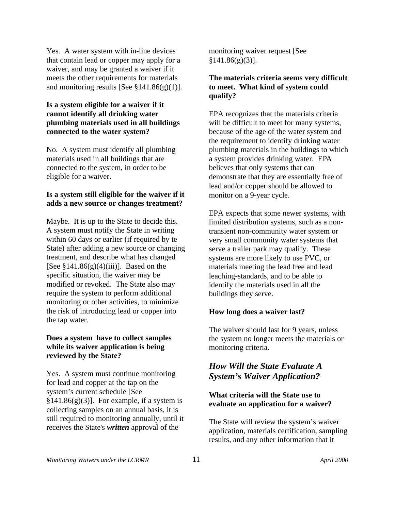Yes. A water system with in-line devices that contain lead or copper may apply for a waiver, and may be granted a waiver if it meets the other requirements for materials and monitoring results [See  $\S 141.86(g)(1)$ ].

#### **Is a system eligible for a waiver if it cannot identify all drinking water plumbing materials used in all buildings connected to the water system?**

No. A system must identify all plumbing materials used in all buildings that are connected to the system, in order to be eligible for a waiver.

#### **Is a system still eligible for the waiver if it adds a new source or changes treatment?**

Maybe. It is up to the State to decide this. A system must notify the State in writing within 60 days or earlier (if required by te State) after adding a new source or changing treatment, and describe what has changed [See  $$141.86(g)(4)(iii)$ ]. Based on the specific situation, the waiver may be modified or revoked. The State also may require the system to perform additional monitoring or other activities, to minimize the risk of introducing lead or copper into the tap water.

#### **Does a system have to collect samples while its waiver application is being reviewed by the State?**

Yes. A system must continue monitoring for lead and copper at the tap on the system's current schedule [See  $§141.86(g)(3)$ ]. For example, if a system is collecting samples on an annual basis, it is still required to monitoring annually, until it receives the State's *written* approval of the

monitoring waiver request [See  $§141.86(g)(3)$ ].

### **The materials criteria seems very difficult to meet. What kind of system could qualify?**

EPA recognizes that the materials criteria will be difficult to meet for many systems, because of the age of the water system and the requirement to identify drinking water plumbing materials in the buildings to which a system provides drinking water. EPA believes that only systems that can demonstrate that they are essentially free of lead and/or copper should be allowed to monitor on a 9-year cycle.

EPA expects that some newer systems, with limited distribution systems, such as a nontransient non-community water system or very small community water systems that serve a trailer park may qualify. These systems are more likely to use PVC, or materials meeting the lead free and lead leaching-standards, and to be able to identify the materials used in all the buildings they serve.

#### **How long does a waiver last?**

The waiver should last for 9 years, unless the system no longer meets the materials or monitoring criteria.

## *How Will the State Evaluate A System's Waiver Application?*

## **What criteria will the State use to evaluate an application for a waiver?**

The State will review the system's waiver application, materials certification, sampling results, and any other information that it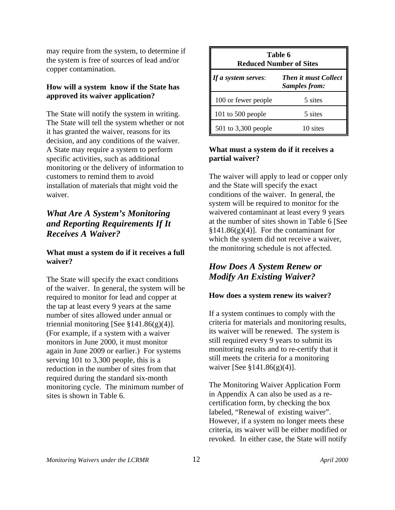may require from the system, to determine if the system is free of sources of lead and/or copper contamination.

### **How will a system know if the State has approved its waiver application?**

The State will notify the system in writing. The State will tell the system whether or not it has granted the waiver, reasons for its decision, and any conditions of the waiver. A State may require a system to perform specific activities, such as additional monitoring or the delivery of information to customers to remind them to avoid installation of materials that might void the waiver.

## *What Are A System's Monitoring and Reporting Requirements If It Receives A Waiver?*

## **What must a system do if it receives a full waiver?**

The State will specify the exact conditions of the waiver. In general, the system will be required to monitor for lead and copper at the tap at least every 9 years at the same number of sites allowed under annual or triennial monitoring [See  $\S 141.86(g)(4)$ ]. (For example, if a system with a waiver monitors in June 2000, it must monitor again in June 2009 or earlier.) For systems serving 101 to 3,300 people, this is a reduction in the number of sites from that required during the standard six-month monitoring cycle. The minimum number of sites is shown in Table 6.

| Table 6<br><b>Reduced Number of Sites</b> |                                                     |
|-------------------------------------------|-----------------------------------------------------|
| If a system serves:                       | <b>Then it must Collect</b><br><b>Samples from:</b> |
| 100 or fewer people                       | 5 sites                                             |
| 101 to $500$ people                       | 5 sites                                             |
| 501 to 3,300 people                       | 10 sites                                            |

## **What must a system do if it receives a partial waiver?**

The waiver will apply to lead or copper only and the State will specify the exact conditions of the waiver. In general, the system will be required to monitor for the waivered contaminant at least every 9 years at the number of sites shown in Table 6 [See  $$141.86(g)(4)$ . For the contaminant for which the system did not receive a waiver, the monitoring schedule is not affected.

## *How Does A System Renew or Modify An Existing Waiver?*

## **How does a system renew its waiver?**

If a system continues to comply with the criteria for materials and monitoring results, its waiver will be renewed. The system is still required every 9 years to submit its monitoring results and to re-certify that it still meets the criteria for a monitoring waiver [See §141.86(g)(4)].

The Monitoring Waiver Application Form in Appendix A can also be used as a recertification form, by checking the box labeled, "Renewal of existing waiver". However, if a system no longer meets these criteria, its waiver will be either modified or revoked. In either case, the State will notify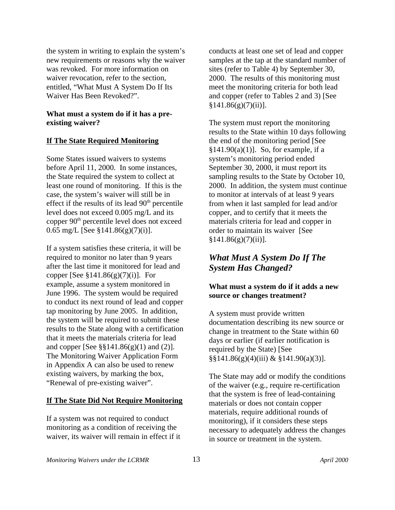the system in writing to explain the system's new requirements or reasons why the waiver was revoked. For more information on waiver revocation, refer to the section, entitled, "What Must A System Do If Its Waiver Has Been Revoked?".

#### **What must a system do if it has a preexisting waiver?**

#### **If The State Required Monitoring**

Some States issued waivers to systems before April 11, 2000. In some instances, the State required the system to collect at least one round of monitoring. If this is the case, the system's waiver will still be in effect if the results of its lead  $90<sup>th</sup>$  percentile level does not exceed 0.005 mg/L and its copper 90th percentile level does not exceed 0.65 mg/L [See  $$141.86(g)(7)(i)$ ].

If a system satisfies these criteria, it will be required to monitor no later than 9 years after the last time it monitored for lead and copper [See  $\S 141.86(g)(7)(i)$ ]. For example, assume a system monitored in June 1996. The system would be required to conduct its next round of lead and copper tap monitoring by June 2005. In addition, the system will be required to submit these results to the State along with a certification that it meets the materials criteria for lead and copper [See  $\S$ §141.86(g)(1) and (2)]. The Monitoring Waiver Application Form in Appendix A can also be used to renew existing waivers, by marking the box, "Renewal of pre-existing waiver".

#### **If The State Did Not Require Monitoring**

If a system was not required to conduct monitoring as a condition of receiving the waiver, its waiver will remain in effect if it conducts at least one set of lead and copper samples at the tap at the standard number of sites (refer to Table 4) by September 30, 2000. The results of this monitoring must meet the monitoring criteria for both lead and copper (refer to Tables 2 and 3) [See  $§141.86(g)(7)(ii)].$ 

The system must report the monitoring results to the State within 10 days following the end of the monitoring period [See  $§141.90(a)(1)$ ]. So, for example, if a system's monitoring period ended September 30, 2000, it must report its sampling results to the State by October 10, 2000. In addition, the system must continue to monitor at intervals of at least 9 years from when it last sampled for lead and/or copper, and to certify that it meets the materials criteria for lead and copper in order to maintain its waiver [See  $§141.86(g)(7)(ii)$ ].

## *What Must A System Do If The System Has Changed?*

#### **What must a system do if it adds a new source or changes treatment?**

A system must provide written documentation describing its new source or change in treatment to the State within 60 days or earlier (if earlier notification is required by the State) [See §§141.86(g)(4)(iii) & §141.90(a)(3)].

The State may add or modify the conditions of the waiver (e.g., require re-certification that the system is free of lead-containing materials or does not contain copper materials, require additional rounds of monitoring), if it considers these steps necessary to adequately address the changes in source or treatment in the system.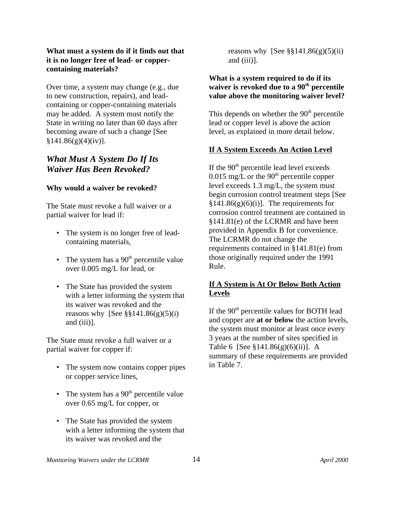#### **What must a system do if it finds out that it is no longer free of lead- or coppercontaining materials?**

Over time, a system may change (e.g., due to new construction, repairs), and leadcontaining or copper-containing materials may be added. A system must notify the State in writing no later than 60 days after becoming aware of such a change [See  $§141.86(g)(4)(iv)$ ].

## *What Must A System Do If Its Waiver Has Been Revoked?*

### **Why would a waiver be revoked?**

The State must revoke a full waiver or a partial waiver for lead if:

- The system is no longer free of leadcontaining materials,
- The system has a  $90<sup>th</sup>$  percentile value over 0.005 mg/L for lead, or
- The State has provided the system with a letter informing the system that its waiver was revoked and the reasons why [See  $\S$ §141.86(g)(5)(i) and (iii)].

The State must revoke a full waiver or a partial waiver for copper if:

- The system now contains copper pipes or copper service lines,
- The system has a  $90<sup>th</sup>$  percentile value over 0.65 mg/L for copper, or
- The State has provided the system with a letter informing the system that its waiver was revoked and the

reasons why [See  $\S$ §141.86(g)(5)(ii) and (iii)].

### **What is a system required to do if its waiver is revoked due to a 90th percentile value above the monitoring waiver level?**

This depends on whether the  $90<sup>th</sup>$  percentile lead or copper level is above the action level, as explained in more detail below.

## **If A System Exceeds An Action Level**

If the  $90<sup>th</sup>$  percentile lead level exceeds 0.015 mg/ $\overline{L}$  or the 90<sup>th</sup> percentile copper level exceeds 1.3 mg/L, the system must begin corrosion control treatment steps [See  $§141.86(g)(6)(i)$ . The requirements for corrosion control treatment are contained in §141.81(e) of the LCRMR and have been provided in Appendix B for convenience. The LCRMR do not change the requirements contained in §141.81(e) from those originally required under the 1991 Rule.

### **If A System is At Or Below Both Action Levels**

If the  $90<sup>th</sup>$  percentile values for BOTH lead and copper are **at or below** the action levels, the system must monitor at least once every 3 years at the number of sites specified in Table 6 [See §141.86(g)(6)(ii)]. A summary of these requirements are provided in Table 7.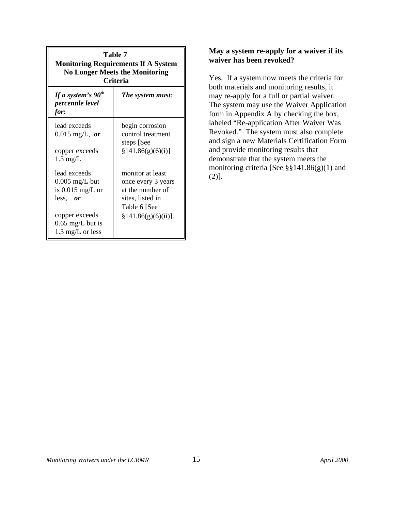| <b>Table 7</b><br><b>Monitoring Requirements If A System</b><br><b>No Longer Meets the Monitoring</b><br><b>Criteria</b>                 |                                                                                                                       |
|------------------------------------------------------------------------------------------------------------------------------------------|-----------------------------------------------------------------------------------------------------------------------|
| If a system's $90^{th}$<br><i>percentile level</i><br>for:                                                                               | The system must:                                                                                                      |
| lead exceeds<br>$0.015 \text{ mg/L}, or$<br>copper exceeds<br>$1.3 \text{ mg/L}$                                                         | begin corrosion<br>control treatment<br>steps [See<br>§141.86(g)(6)(i)]                                               |
| lead exceeds<br>$0.005$ mg/L but<br>is $0.015$ mg/L or<br>less, or<br>copper exceeds<br>$0.65$ mg/L but is<br>$1.3 \text{ mg/L}$ or less | monitor at least<br>once every 3 years<br>at the number of<br>sites, listed in<br>Table 6 [See<br>§141.86(g)(6)(ii)]. |

#### **May a system re-apply for a waiver if its waiver has been revoked?**

Yes. If a system now meets the criteria for both materials and monitoring results, it may re-apply for a full or partial waiver. The system may use the Waiver Application form in Appendix A by checking the box, labeled "Re-application After Waiver Was Revoked." The system must also complete and sign a new Materials Certification Form and provide monitoring results that demonstrate that the system meets the monitoring criteria [See §§141.86(g)(1) and (2)].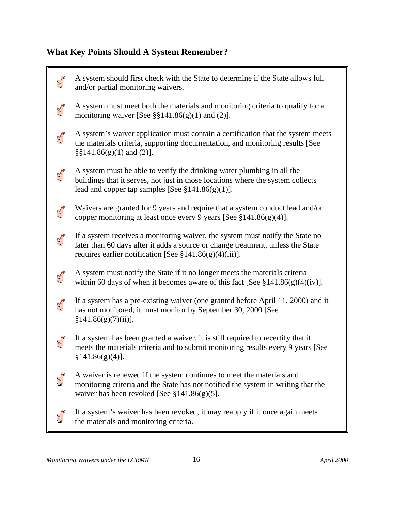## **What Key Points Should A System Remember?**

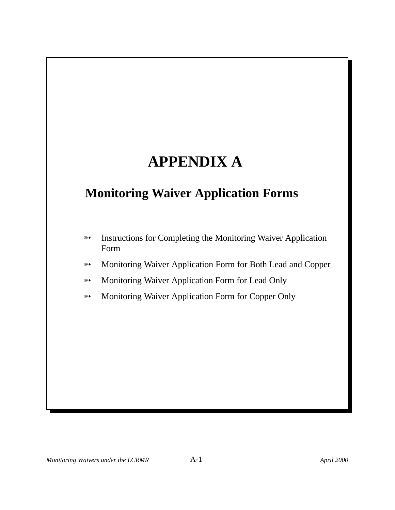## **APPENDIX A**

## **Monitoring Waiver Application Forms**

- **EXECUTE:** Instructions for Completing the Monitoring Waiver Application Form
- **EXECUTE:** Monitoring Waiver Application Form for Both Lead and Copper
- **EXECUTE:** Monitoring Waiver Application Form for Lead Only
- **EXECUTE:** Monitoring Waiver Application Form for Copper Only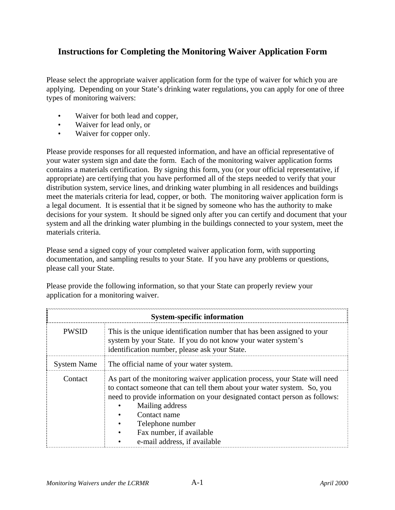## **Instructions for Completing the Monitoring Waiver Application Form**

Please select the appropriate waiver application form for the type of waiver for which you are applying. Depending on your State's drinking water regulations, you can apply for one of three types of monitoring waivers:

- Waiver for both lead and copper,
- Waiver for lead only, or
- Waiver for copper only.

Please provide responses for all requested information, and have an official representative of your water system sign and date the form. Each of the monitoring waiver application forms contains a materials certification. By signing this form, you (or your official representative, if appropriate) are certifying that you have performed all of the steps needed to verify that your distribution system, service lines, and drinking water plumbing in all residences and buildings meet the materials criteria for lead, copper, or both. The monitoring waiver application form is a legal document. It is essential that it be signed by someone who has the authority to make decisions for your system. It should be signed only after you can certify and document that your system and all the drinking water plumbing in the buildings connected to your system, meet the materials criteria.

Please send a signed copy of your completed waiver application form, with supporting documentation, and sampling results to your State. If you have any problems or questions, please call your State.

|                    | <b>System-specific information</b>                                                                                                                                                                                                                                                                                                                   |
|--------------------|------------------------------------------------------------------------------------------------------------------------------------------------------------------------------------------------------------------------------------------------------------------------------------------------------------------------------------------------------|
| <b>PWSID</b>       | This is the unique identification number that has been assigned to your<br>system by your State. If you do not know your water system's<br>identification number, please ask your State.                                                                                                                                                             |
| <b>System Name</b> | The official name of your water system.                                                                                                                                                                                                                                                                                                              |
| Contact            | As part of the monitoring waiver application process, your State will need<br>to contact someone that can tell them about your water system. So, you<br>need to provide information on your designated contact person as follows:<br>Mailing address<br>Contact name<br>Telephone number<br>Fax number, if available<br>e-mail address, if available |

Please provide the following information, so that your State can properly review your application for a monitoring waiver.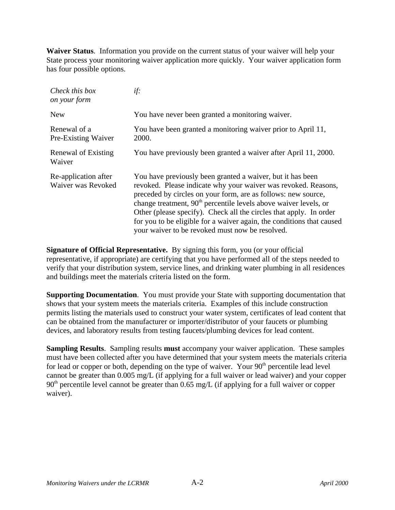**Waiver Status**. Information you provide on the current status of your waiver will help your State process your monitoring waiver application more quickly. Your waiver application form has four possible options.

| Check this box<br>on your form             | if:                                                                                                                                                                                                                                                                                                                                                                                                                                                                   |
|--------------------------------------------|-----------------------------------------------------------------------------------------------------------------------------------------------------------------------------------------------------------------------------------------------------------------------------------------------------------------------------------------------------------------------------------------------------------------------------------------------------------------------|
| <b>New</b>                                 | You have never been granted a monitoring waiver.                                                                                                                                                                                                                                                                                                                                                                                                                      |
| Renewal of a<br>Pre-Existing Waiver        | You have been granted a monitoring waiver prior to April 11,<br>2000.                                                                                                                                                                                                                                                                                                                                                                                                 |
| Renewal of Existing<br>Waiver              | You have previously been granted a waiver after April 11, 2000.                                                                                                                                                                                                                                                                                                                                                                                                       |
| Re-application after<br>Waiver was Revoked | You have previously been granted a waiver, but it has been<br>revoked. Please indicate why your waiver was revoked. Reasons,<br>preceded by circles on your form, are as follows: new source,<br>change treatment, $90th$ percentile levels above waiver levels, or<br>Other (please specify). Check all the circles that apply. In order<br>for you to be eligible for a waiver again, the conditions that caused<br>your waiver to be revoked must now be resolved. |

**Signature of Official Representative.** By signing this form, you (or your official representative, if appropriate) are certifying that you have performed all of the steps needed to verify that your distribution system, service lines, and drinking water plumbing in all residences and buildings meet the materials criteria listed on the form.

**Supporting Documentation**. You must provide your State with supporting documentation that shows that your system meets the materials criteria. Examples of this include construction permits listing the materials used to construct your water system, certificates of lead content that can be obtained from the manufacturer or importer/distributor of your faucets or plumbing devices, and laboratory results from testing faucets/plumbing devices for lead content.

**Sampling Results**. Sampling results **must** accompany your waiver application. These samples must have been collected after you have determined that your system meets the materials criteria for lead or copper or both, depending on the type of waiver. Your  $90<sup>th</sup>$  percentile lead level cannot be greater than 0.005 mg/L (if applying for a full waiver or lead waiver) and your copper 90<sup>th</sup> percentile level cannot be greater than 0.65 mg/L (if applying for a full waiver or copper waiver).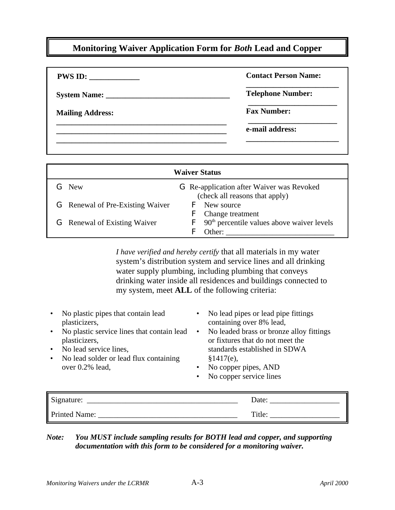## **Monitoring Waiver Application Form for** *Both* **Lead and Copper**

| PWS ID:                 | <b>Contact Person Name:</b> |
|-------------------------|-----------------------------|
|                         | <b>Telephone Number:</b>    |
| <b>Mailing Address:</b> | <b>Fax Number:</b>          |
|                         | e-mail address:             |
|                         |                             |

| <b>Waiver Status</b>                    |                                                                                    |
|-----------------------------------------|------------------------------------------------------------------------------------|
| <b>G</b> New                            | <b>G</b> Re-application after Waiver was Revoked<br>(check all reasons that apply) |
| <b>G</b> Renewal of Pre-Existing Waiver | <b>F</b> New source<br><b>F</b> Change treatment                                   |
| <b>G</b> Renewal of Existing Waiver     | $\mathsf{F}$ 90 <sup>th</sup> percentile values above waiver levels<br>Other:      |

*I have verified and hereby certify* that all materials in my water system's distribution system and service lines and all drinking water supply plumbing, including plumbing that conveys drinking water inside all residences and buildings connected to my system, meet **ALL** of the following criteria:

| No plastic pipes that contain lead<br>plasticizers,<br>No plastic service lines that contain lead<br>plasticizers,<br>No lead service lines,<br>$\bullet$<br>No lead solder or lead flux containing<br>$\bullet$<br>over $0.2\%$ lead, | No lead pipes or lead pipe fittings<br>containing over 8% lead,<br>No leaded brass or bronze alloy fittings<br>$\bullet$<br>or fixtures that do not meet the<br>standards established in SDWA<br>§1417(e),<br>No copper pipes, AND<br>No copper service lines<br>٠ |
|----------------------------------------------------------------------------------------------------------------------------------------------------------------------------------------------------------------------------------------|--------------------------------------------------------------------------------------------------------------------------------------------------------------------------------------------------------------------------------------------------------------------|
| Signature:                                                                                                                                                                                                                             | Date:                                                                                                                                                                                                                                                              |

## *Note: You MUST include sampling results for BOTH lead and copper, and supporting documentation with this form to be considered for a monitoring waiver.*

Printed Name: \_\_\_\_\_\_\_\_\_\_\_\_\_\_\_\_\_\_\_\_\_\_\_\_\_\_\_\_\_\_\_\_\_\_\_\_ Title: \_\_\_\_\_\_\_\_\_\_\_\_\_\_\_\_\_\_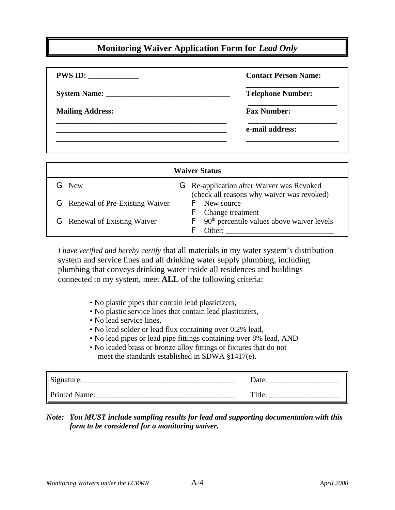## **Monitoring Waiver Application Form for** *Lead Only*

| PWS ID:                 | <b>Contact Person Name:</b> |
|-------------------------|-----------------------------|
|                         | <b>Telephone Number:</b>    |
| <b>Mailing Address:</b> | <b>Fax Number:</b>          |
|                         | e-mail address:             |
|                         |                             |

| <b>Waiver Status</b>                    |                                                                                                |  |
|-----------------------------------------|------------------------------------------------------------------------------------------------|--|
| <b>G</b> New                            | <b>G</b> Re-application after Waiver was Revoked<br>(check all reasons why waiver was revoked) |  |
| <b>G</b> Renewal of Pre-Existing Waiver | <b>F</b> New source<br><b>F</b> Change treatment                                               |  |
| <b>G</b> Renewal of Existing Waiver     | $\mathsf{F}$ 90 <sup>th</sup> percentile values above waiver levels<br>Other:                  |  |

*I have verified and hereby certify* that all materials in my water system's distribution system and service lines and all drinking water supply plumbing, including plumbing that conveys drinking water inside all residences and buildings connected to my system, meet **ALL** of the following criteria:

- No plastic pipes that contain lead plasticizers,
- No plastic service lines that contain lead plasticizers,
- No lead service lines,
- No lead solder or lead flux containing over 0.2% lead,
- No lead pipes or lead pipe fittings containing over 8% lead, AND
- No leaded brass or bronze alloy fittings or fixtures that do not meet the standards established in SDWA §1417(e).

| Signature:    | Date:  |
|---------------|--------|
| Printed Name: | Title: |

## *Note: You MUST include sampling results for lead and supporting documentation with this form to be considered for a monitoring waiver.*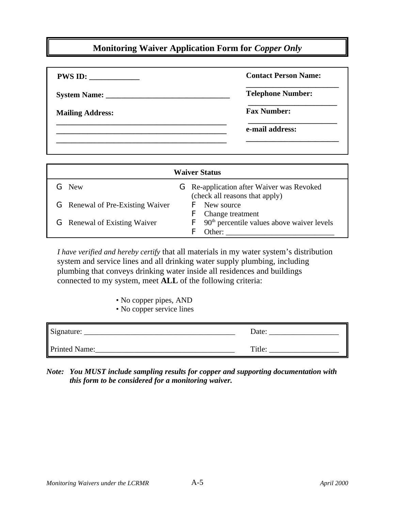## **Monitoring Waiver Application Form for** *Copper Only*

| <b>PWS ID:</b>          | <b>Contact Person Name:</b> |
|-------------------------|-----------------------------|
|                         | <b>Telephone Number:</b>    |
| <b>Mailing Address:</b> | <b>Fax Number:</b>          |
|                         | e-mail address:             |
|                         |                             |

| <b>Waiver Status</b>                    |                                                                                                            |
|-----------------------------------------|------------------------------------------------------------------------------------------------------------|
| <b>G</b> New                            | <b>G</b> Re-application after Waiver was Revoked                                                           |
| <b>G</b> Renewal of Pre-Existing Waiver | (check all reasons that apply)<br><b>F</b> New source                                                      |
| <b>G</b> Renewal of Existing Waiver     | <b>F</b> Change treatment<br>$\mathsf{F}$ 90 <sup>th</sup> percentile values above waiver levels<br>Other: |

*I have verified and hereby certify* that all materials in my water system's distribution system and service lines and all drinking water supply plumbing, including plumbing that conveys drinking water inside all residences and buildings connected to my system, meet **ALL** of the following criteria:

- No copper pipes, AND
- No copper service lines

| Signature:    | Date:  |
|---------------|--------|
| Printed Name: | Title: |

*Note: You MUST include sampling results for copper and supporting documentation with this form to be considered for a monitoring waiver.*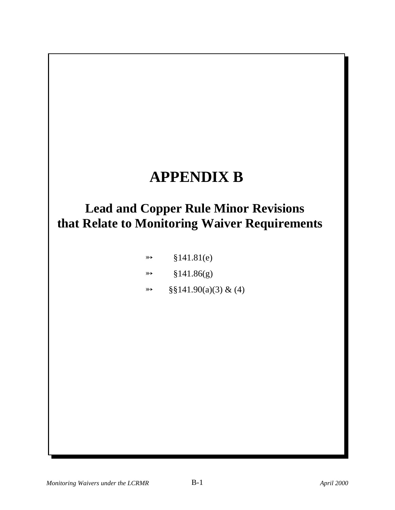## **APPENDIX B**

## **Lead and Copper Rule Minor Revisions that Relate to Monitoring Waiver Requirements**

| $\rightarrow$ | §141.81(e) |
|---------------|------------|
| $\rightarrow$ | §141.86(g) |
|               |            |

 $\Rightarrow$  §§141.90(a)(3) & (4)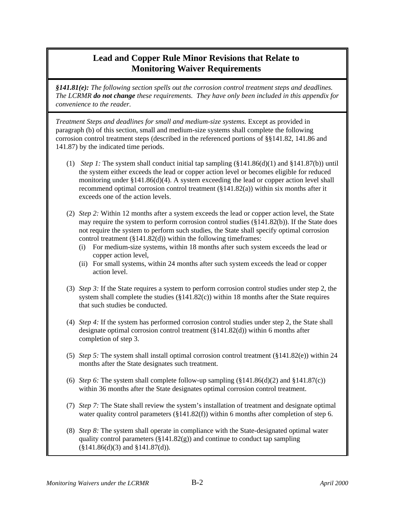*§141.81(e): The following section spells out the corrosion control treatment steps and deadlines. The LCRMR do not change these requirements. They have only been included in this appendix for convenience to the reader.*

*Treatment Steps and deadlines for small and medium-size systems.* Except as provided in paragraph (b) of this section, small and medium-size systems shall complete the following corrosion control treatment steps (described in the referenced portions of §§141.82, 141.86 and 141.87) by the indicated time periods.

- (1) *Step 1:* The system shall conduct initial tap sampling (§141.86(d)(1) and §141.87(b)) until the system either exceeds the lead or copper action level or becomes eligible for reduced monitoring under  $\S 141.86(d)(4)$ . A system exceeding the lead or copper action level shall recommend optimal corrosion control treatment  $(\S141.82(a))$  within six months after it exceeds one of the action levels.
- (2) *Step 2:* Within 12 months after a system exceeds the lead or copper action level, the State may require the system to perform corrosion control studies (§141.82(b)). If the State does not require the system to perform such studies, the State shall specify optimal corrosion control treatment  $(\S141.82(d))$  within the following timeframes:
	- (i) For medium-size systems, within 18 months after such system exceeds the lead or copper action level,
	- (ii) For small systems, within 24 months after such system exceeds the lead or copper action level.
- (3) *Step 3:* If the State requires a system to perform corrosion control studies under step 2, the system shall complete the studies  $(\S141.82(c))$  within 18 months after the State requires that such studies be conducted.
- (4) *Step 4:* If the system has performed corrosion control studies under step 2, the State shall designate optimal corrosion control treatment (§141.82(d)) within 6 months after completion of step 3.
- (5) *Step 5:* The system shall install optimal corrosion control treatment (§141.82(e)) within 24 months after the State designates such treatment.
- (6) *Step 6*: The system shall complete follow-up sampling  $(\frac{8141.86(d)}{2})$  and  $\frac{8141.87(c)}{c}$ within 36 months after the State designates optimal corrosion control treatment.
- (7) *Step 7:* The State shall review the system's installation of treatment and designate optimal water quality control parameters (§141.82(f)) within 6 months after completion of step 6.
- (8) *Step 8:* The system shall operate in compliance with the State-designated optimal water quality control parameters (§141.82(g)) and continue to conduct tap sampling (§141.86(d)(3) and §141.87(d)).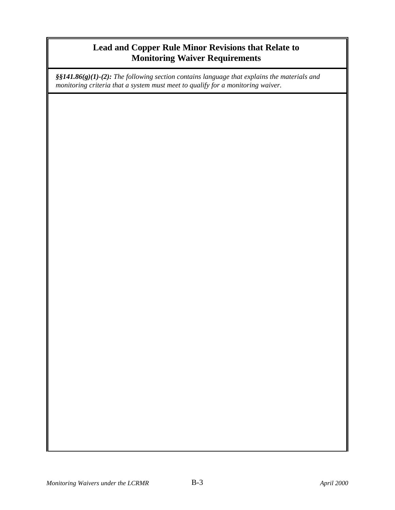*§§141.86(g)(1)-(2): The following section contains language that explains the materials and monitoring criteria that a system must meet to qualify for a monitoring waiver.*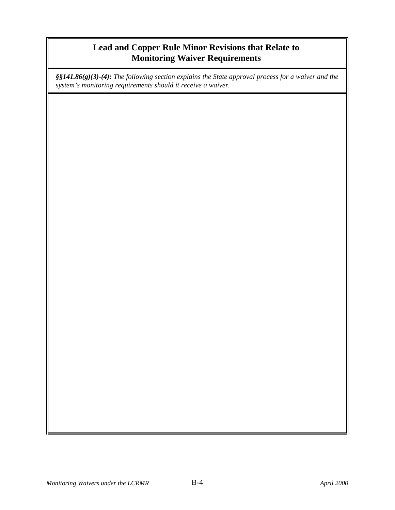*§§141.86(g)(3)-(4): The following section explains the State approval process for a waiver and the system's monitoring requirements should it receive a waiver.*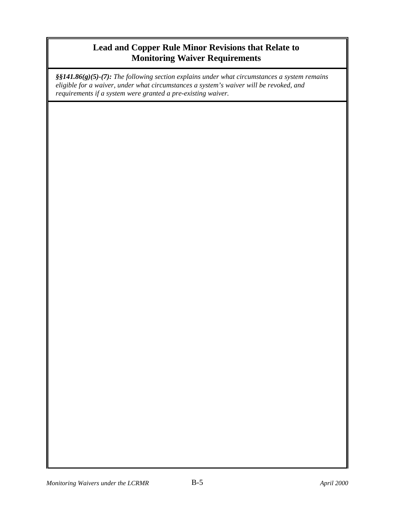*§§141.86(g)(5)-(7): The following section explains under what circumstances a system remains eligible for a waiver, under what circumstances a system's waiver will be revoked, and requirements if a system were granted a pre-existing waiver.*